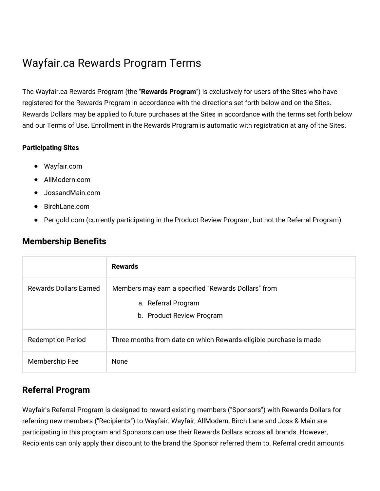# Wayfair.ca Rewards Program Terms

The Wayfair.ca Rewards Program (the "**Rewards Program**") is exclusively for users of the Sites who have registered for the Rewards Program in accordance with the directions set forth below and on the Sites. Rewards Dollars may be applied to future purchases at the Sites in accordance with the terms set forth below and our Terms of Use. Enrollment in the Rewards Program is automatic with registration at any of the Sites.

#### **Participating Sites**

- Wayfair.com
- AllModern.com
- JossandMain.com
- BirchLane.com
- Perigold.com (currently participating in the Product Review Program, but not the Referral Program)

#### **Membership Benefits**

|                               | <b>Rewards</b>                                                                                          |
|-------------------------------|---------------------------------------------------------------------------------------------------------|
| <b>Rewards Dollars Earned</b> | Members may earn a specified "Rewards Dollars" from<br>a. Referral Program<br>b. Product Review Program |
| <b>Redemption Period</b>      | Three months from date on which Rewards-eligible purchase is made                                       |
| Membership Fee                | None                                                                                                    |

## **Referral Program**

Wayfair's Referral Program is designed to reward existing members ("Sponsors") with Rewards Dollars for referring new members ("Recipients") to Wayfair. Wayfair, AllModern, Birch Lane and Joss & Main are participating in this program and Sponsors can use their Rewards Dollars across all brands. However, Recipients can only apply their discount to the brand the Sponsor referred them to. Referral credit amounts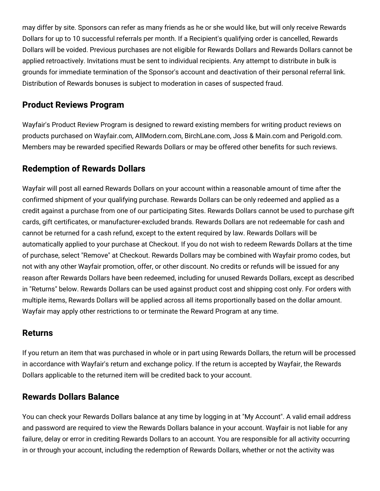may differ by site. Sponsors can refer as many friends as he or she would like, but will only receive Rewards Dollars for up to 10 successful referrals per month. If a Recipient's qualifying order is cancelled, Rewards Dollars will be voided. Previous purchases are not eligible for Rewards Dollars and Rewards Dollars cannot be applied retroactively. Invitations must be sent to individual recipients. Any attempt to distribute in bulk is grounds for immediate termination of the Sponsor's account and deactivation of their personal referral link. Distribution of Rewards bonuses is subject to moderation in cases of suspected fraud.

#### **Product Reviews Program**

Wayfair's Product Review Program is designed to reward existing members for writing product reviews on products purchased on Wayfair.com, AllModern.com, BirchLane.com, Joss & Main.com and Perigold.com. Members may be rewarded specified Rewards Dollars or may be offered other benefits for such reviews.

# **Redemption of Rewards Dollars**

Wayfair will post all earned Rewards Dollars on your account within a reasonable amount of time after the confirmed shipment of your qualifying purchase. Rewards Dollars can be only redeemed and applied as a credit against a purchase from one of our participating Sites. Rewards Dollars cannot be used to purchase gift cards, gift certificates, or manufacturer-excluded brands. Rewards Dollars are not redeemable for cash and cannot be returned for a cash refund, except to the extent required by law. Rewards Dollars will be automatically applied to your purchase at Checkout. If you do not wish to redeem Rewards Dollars at the time of purchase, select "Remove" at Checkout. Rewards Dollars may be combined with Wayfair promo codes, but not with any other Wayfair promotion, offer, or other discount. No credits or refunds will be issued for any reason after Rewards Dollars have been redeemed, including for unused Rewards Dollars, except as described in "Returns" below. Rewards Dollars can be used against product cost and shipping cost only. For orders with multiple items, Rewards Dollars will be applied across all items proportionally based on the dollar amount. Wayfair may apply other restrictions to or terminate the Reward Program at any time.

#### **Returns**

If you return an item that was purchased in whole or in part using Rewards Dollars, the return will be processed in accordance with Wayfair's return and exchange policy. If the return is accepted by Wayfair, the Rewards Dollars applicable to the returned item will be credited back to your account.

## **Rewards Dollars Balance**

You can check your Rewards Dollars balance at any time by logging in at "My Account". A valid email address and password are required to view the Rewards Dollars balance in your account. Wayfair is not liable for any failure, delay or error in crediting Rewards Dollars to an account. You are responsible for all activity occurring in or through your account, including the redemption of Rewards Dollars, whether or not the activity was